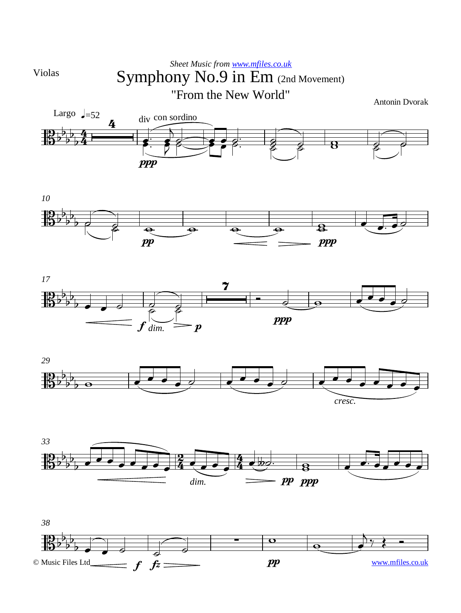

## Symphony No.9 in Em (2nd Movement) *Sheet Music from [www.mfiles.co.uk](http://www.mfiles.co.uk)* "From the New World"

Antonin Dvorak











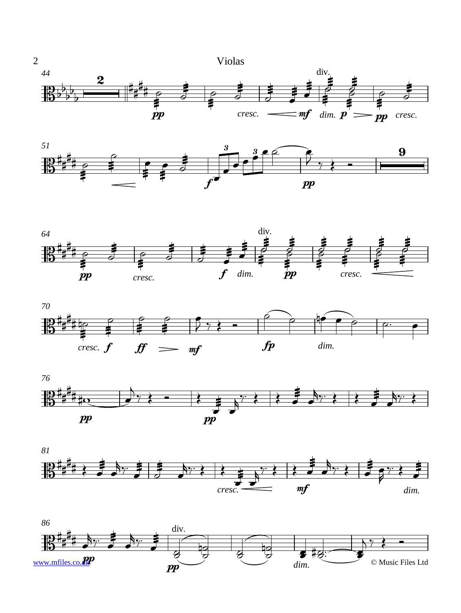